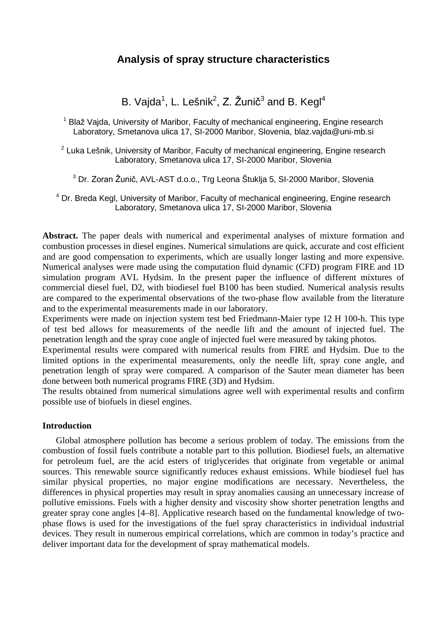# **Analysis of spray structure characteristics**

B. Vajda $^1$ , L. Lešnik $^2$ , Z. Žunič $^3$  and B. Kegl $^4$ 

<sup>1</sup> Blaž Vaida, University of Maribor, Faculty of mechanical engineering, Engine research Laboratory, Smetanova ulica 17, SI-2000 Maribor, Slovenia, blaz.vajda@uni-mb.si

 $2$  Luka Lešnik, University of Maribor, Faculty of mechanical engineering, Engine research Laboratory, Smetanova ulica 17, SI-2000 Maribor, Slovenia

<sup>3</sup> Dr. Zoran Žunič, AVL-AST d.o.o., Trg Leona Štuklja 5, SI-2000 Maribor, Slovenia

<sup>4</sup> Dr. Breda Kegl, University of Maribor, Faculty of mechanical engineering, Engine research Laboratory, Smetanova ulica 17, SI-2000 Maribor, Slovenia

**Abstract.** The paper deals with numerical and experimental analyses of mixture formation and combustion processes in diesel engines. Numerical simulations are quick, accurate and cost efficient and are good compensation to experiments, which are usually longer lasting and more expensive. Numerical analyses were made using the computation fluid dynamic (CFD) program FIRE and 1D simulation program AVL Hydsim. In the present paper the influence of different mixtures of commercial diesel fuel, D2, with biodiesel fuel B100 has been studied. Numerical analysis results are compared to the experimental observations of the two-phase flow available from the literature and to the experimental measurements made in our laboratory.

Experiments were made on injection system test bed Friedmann-Maier type 12 H 100-h. This type of test bed allows for measurements of the needle lift and the amount of injected fuel. The penetration length and the spray cone angle of injected fuel were measured by taking photos.

Experimental results were compared with numerical results from FIRE and Hydsim. Due to the limited options in the experimental measurements, only the needle lift, spray cone angle, and penetration length of spray were compared. A comparison of the Sauter mean diameter has been done between both numerical programs FIRE (3D) and Hydsim.

The results obtained from numerical simulations agree well with experimental results and confirm possible use of biofuels in diesel engines.

#### **Introduction**

Global atmosphere pollution has become a serious problem of today. The emissions from the combustion of fossil fuels contribute a notable part to this pollution. Biodiesel fuels, an alternative for petroleum fuel, are the acid esters of triglycerides that originate from vegetable or animal sources. This renewable source significantly reduces exhaust emissions. While biodiesel fuel has similar physical properties, no major engine modifications are necessary. Nevertheless, the differences in physical properties may result in spray anomalies causing an unnecessary increase of pollutive emissions. Fuels with a higher density and viscosity show shorter penetration lengths and greater spray cone angles [4–8]. Applicative research based on the fundamental knowledge of twophase flows is used for the investigations of the fuel spray characteristics in individual industrial devices. They result in numerous empirical correlations, which are common in today's practice and deliver important data for the development of spray mathematical models.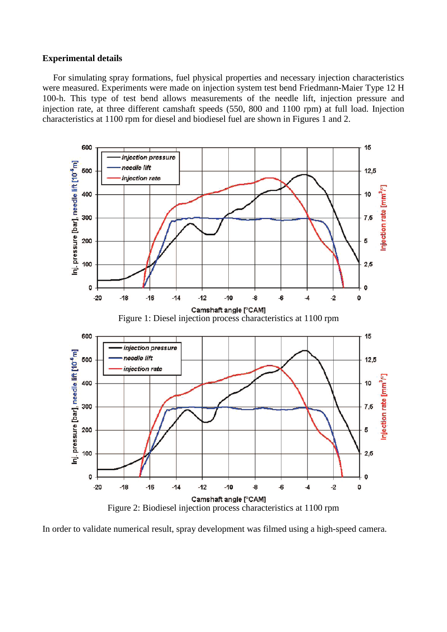### **Experimental details**

For simulating spray formations, fuel physical properties and necessary injection characteristics were measured. Experiments were made on injection system test bend Friedmann-Maier Type 12 H 100-h. This type of test bend allows measurements of the needle lift, injection pressure and injection rate, at three different camshaft speeds (550, 800 and 1100 rpm) at full load. Injection characteristics at 1100 rpm for diesel and biodiesel fuel are shown in Figures 1 and 2.



In order to validate numerical result, spray development was filmed using a high-speed camera.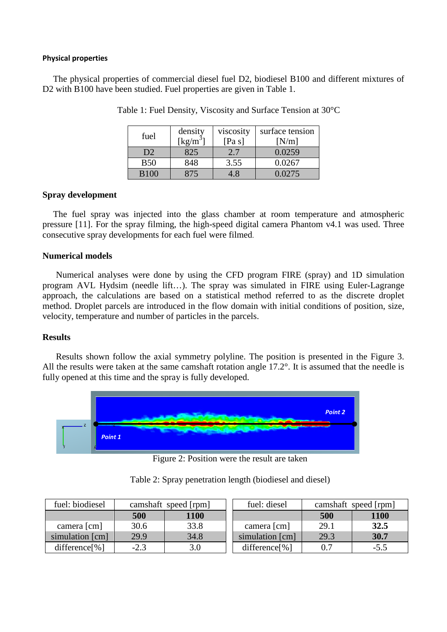#### **Physical properties**

The physical properties of commercial diesel fuel D2, biodiesel B100 and different mixtures of D<sub>2</sub> with B<sub>100</sub> have been studied. Fuel properties are given in Table 1.

| fuel           | density<br>$\left[\mathrm{kg/m}^3\right]$ | viscosity<br>[Pa s] | surface tension<br>[N/m] |
|----------------|-------------------------------------------|---------------------|--------------------------|
| D <sub>2</sub> | 825                                       | 2.7                 | 0.0259                   |
| <b>B50</b>     | 848                                       | 3.55                | 0.0267                   |
| B100           |                                           | - 8                 | 0.0275                   |

Table 1: Fuel Density, Viscosity and Surface Tension at 30°C

### **Spray development**

The fuel spray was injected into the glass chamber at room temperature and atmospheric pressure [11]. For the spray filming, the high-speed digital camera Phantom v4.1 was used. Three consecutive spray developments for each fuel were filmed.

### **Numerical models**

Numerical analyses were done by using the CFD program FIRE (spray) and 1D simulation program AVL Hydsim (needle lift…). The spray was simulated in FIRE using Euler-Lagrange approach, the calculations are based on a statistical method referred to as the discrete droplet method. Droplet parcels are introduced in the flow domain with initial conditions of position, size, velocity, temperature and number of particles in the parcels.

#### **Results**

Results shown follow the axial symmetry polyline. The position is presented in the Figure 3. All the results were taken at the same camshaft rotation angle 17.2°. It is assumed that the needle is fully opened at this time and the spray is fully developed.



Figure 2: Position were the result are taken

| fuel: biodiesel | camshaft speed [rpm] |             | fuel: diesel     | camshaft speed [rpm] |        |
|-----------------|----------------------|-------------|------------------|----------------------|--------|
|                 | 500                  | <b>1100</b> |                  | 500                  | 1100   |
| camera [cm]     | 30.6                 | 33.8        | camera [cm]      | 29.1                 | 32.5   |
| simulation [cm] | 29.9                 | 34.8        | simulation [cm]  | 29.3                 | 30.7   |
| difference[%]   | $-2.3$               | 3.0         | $difference[\%]$ | 0.7                  | $-5.5$ |

Table 2: Spray penetration length (biodiesel and diesel)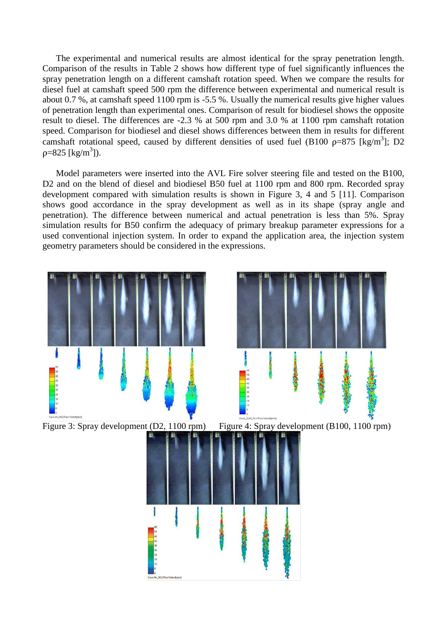The experimental and numerical results are almost identical for the spray penetration length. Comparison of the results in Table 2 shows how different type of fuel significantly influences the spray penetration length on a different camshaft rotation speed. When we compare the results for diesel fuel at camshaft speed 500 rpm the difference between experimental and numerical result is about 0.7 %, at camshaft speed 1100 rpm is -5.5 %. Usually the numerical results give higher values of penetration length than experimental ones. Comparison of result for biodiesel shows the opposite result to diesel. The differences are -2.3 % at 500 rpm and 3.0 % at 1100 rpm camshaft rotation speed. Comparison for biodiesel and diesel shows differences between them in results for different camshaft rotational speed, caused by different densities of used fuel (B100  $p=875$  [kg/m<sup>3</sup>]; D2  $p=825$  [kg/m<sup>3</sup>]).

Model parameters were inserted into the AVL Fire solver steering file and tested on the B100, D2 and on the blend of diesel and biodiesel B50 fuel at 1100 rpm and 800 rpm. Recorded spray development compared with simulation results is shown in Figure 3, 4 and 5 [11]. Comparison shows good accordance in the spray development as well as in its shape (spray angle and penetration). The difference between numerical and actual penetration is less than 5%. Spray simulation results for B50 confirm the adequacy of primary breakup parameter expressions for a used conventional injection system. In order to expand the application area, the injection system geometry parameters should be considered in the expressions.

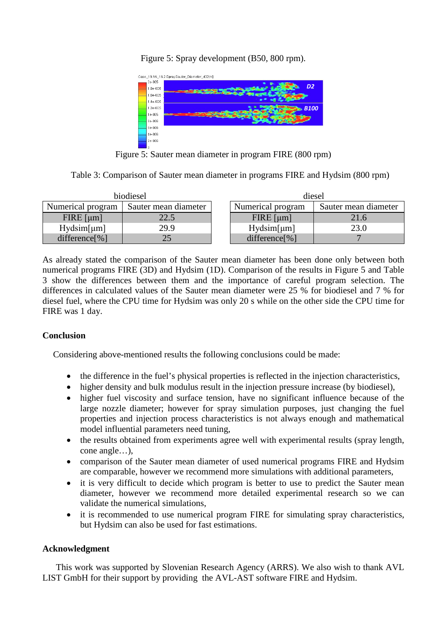Figure 5: Spray development (B50, 800 rpm).



Figure 5: Sauter mean diameter in program FIRE (800 rpm)

| Table 3: Comparison of Sauter mean diameter in programs FIRE and Hydsim (800 rpm) |  |  |  |
|-----------------------------------------------------------------------------------|--|--|--|
|                                                                                   |  |  |  |

| biodiesel         |                      | diesel            |                      |  |
|-------------------|----------------------|-------------------|----------------------|--|
| Numerical program | Sauter mean diameter | Numerical program | Sauter mean diameter |  |
| $FIRE$ [µm]       | 22.5                 | $FIRE$ [µm]       | 21.6                 |  |
| Hydsim[µm]        | 29.9                 | Hydsim[µm]        | 23.0                 |  |
| difference $[\%]$ | 25                   | difference $[\%]$ |                      |  |

As already stated the comparison of the Sauter mean diameter has been done only between both numerical programs FIRE (3D) and Hydsim (1D). Comparison of the results in Figure 5 and Table 3 show the differences between them and the importance of careful program selection. The differences in calculated values of the Sauter mean diameter were 25 % for biodiesel and 7 % for diesel fuel, where the CPU time for Hydsim was only 20 s while on the other side the CPU time for FIRE was 1 day.

# **Conclusion**

Considering above-mentioned results the following conclusions could be made:

- the difference in the fuel's physical properties is reflected in the injection characteristics,
- higher density and bulk modulus result in the injection pressure increase (by biodiesel),
- higher fuel viscosity and surface tension, have no significant influence because of the large nozzle diameter; however for spray simulation purposes, just changing the fuel properties and injection process characteristics is not always enough and mathematical model influential parameters need tuning,
- the results obtained from experiments agree well with experimental results (spray length, cone angle…),
- comparison of the Sauter mean diameter of used numerical programs FIRE and Hydsim are comparable, however we recommend more simulations with additional parameters,
- it is very difficult to decide which program is better to use to predict the Sauter mean diameter, however we recommend more detailed experimental research so we can validate the numerical simulations,
- it is recommended to use numerical program FIRE for simulating spray characteristics, but Hydsim can also be used for fast estimations.

# **Acknowledgment**

This work was supported by Slovenian Research Agency (ARRS). We also wish to thank AVL LIST GmbH for their support by providing the AVL-AST software FIRE and Hydsim.